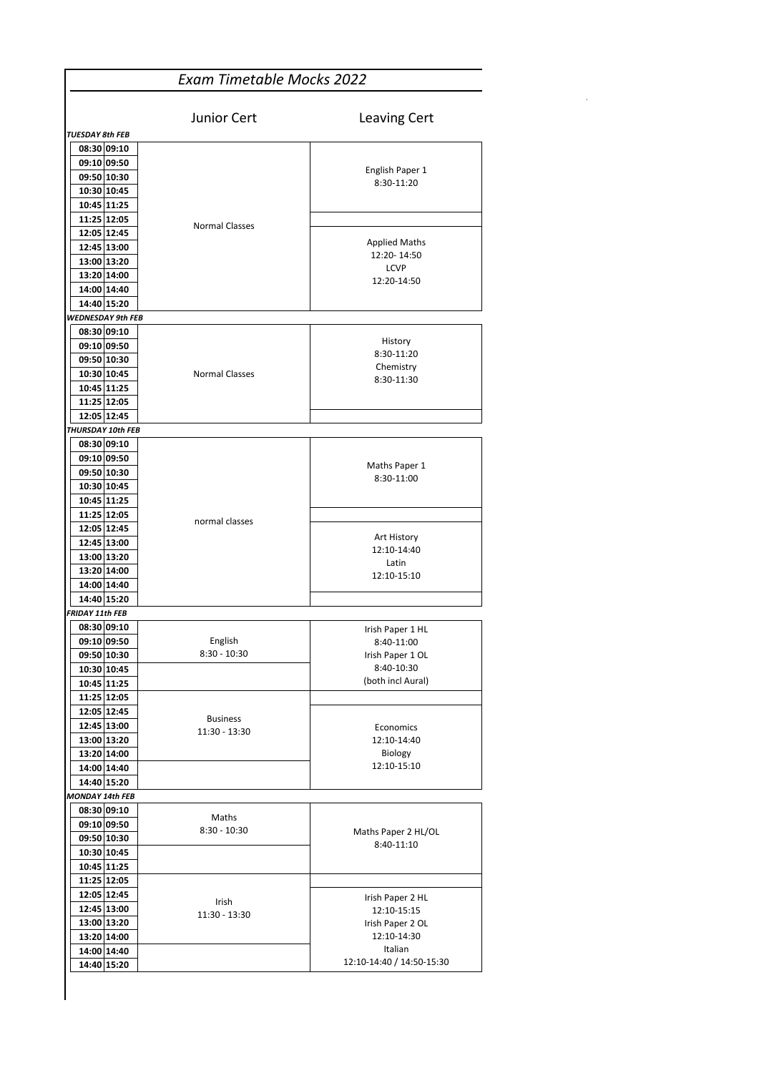| <b>Exam Timetable Mocks 2022</b>                                                                                           |                                  |                                                                    |  |  |
|----------------------------------------------------------------------------------------------------------------------------|----------------------------------|--------------------------------------------------------------------|--|--|
| <b>TUESDAY 8th FEB</b>                                                                                                     | Junior Cert                      | Leaving Cert                                                       |  |  |
| 08:30 09:10<br>09:10 09:50<br>09:50 10:30<br>10:30 10:45<br>10:45 11:25                                                    |                                  | English Paper 1<br>8:30-11:20                                      |  |  |
| 11:25 12:05<br>12:05 12:45<br>12:45 13:00<br>13:00 13:20<br>13:20 14:00<br>14:00 14:40                                     | <b>Normal Classes</b>            | <b>Applied Maths</b><br>12:20-14:50<br><b>LCVP</b><br>12:20-14:50  |  |  |
| 14:40 15:20<br><b>WEDNESDAY 9th FEB</b>                                                                                    |                                  |                                                                    |  |  |
| 08:30 09:10<br>09:10 09:50<br>09:50 10:30<br>10:30 10:45<br>10:45 11:25<br>11:25 12:05<br>12:05 12:45<br>THURSDAY 10th FEB | <b>Normal Classes</b>            | History<br>8:30-11:20<br>Chemistry<br>8:30-11:30                   |  |  |
| 08:30 09:10<br>09:10 09:50<br>09:50 10:30<br>10:30 10:45<br>10:45 11:25<br>11:25 12:05                                     |                                  | Maths Paper 1<br>8:30-11:00                                        |  |  |
| 12:05 12:45<br>12:45 13:00<br>13:00 13:20<br>13:20 14:00<br>14:00 14:40<br>14:40 15:20                                     | normal classes                   | Art History<br>12:10-14:40<br>Latin<br>12:10-15:10                 |  |  |
| <b>FRIDAY 11th FEB</b>                                                                                                     |                                  |                                                                    |  |  |
| 08:30 09:10<br>09:10 09:50<br>09:50 10:30                                                                                  | English<br>$8:30 - 10:30$        | Irish Paper 1 HL<br>8:40-11:00<br>Irish Paper 1 OL                 |  |  |
| 10:30 10:45<br>10:45 11:25<br>11:25 12:05                                                                                  |                                  | 8:40-10:30<br>(both incl Aural)                                    |  |  |
| 12:05 12:45<br>12:45 13:00<br>13:00 13:20<br>13:20 14:00                                                                   | <b>Business</b><br>11:30 - 13:30 | Economics<br>12:10-14:40<br>Biology                                |  |  |
| 14:00 14:40<br>14:40 15:20                                                                                                 |                                  | 12:10-15:10                                                        |  |  |
| MONDAY 14th FEB                                                                                                            |                                  |                                                                    |  |  |
| 08:30 09:10<br>09:10 09:50<br>09:50 10:30<br>10:30 10:45                                                                   | Maths<br>$8:30 - 10:30$          | Maths Paper 2 HL/OL<br>8:40-11:10                                  |  |  |
| 10:45 11:25<br>11:25 12:05<br>12:05 12:45<br>12:45 13:00<br>13:00 13:20<br>13:20 14:00                                     | Irish<br>11:30 - 13:30           | Irish Paper 2 HL<br>12:10-15:15<br>Irish Paper 2 OL<br>12:10-14:30 |  |  |
| 14:00 14:40<br>14:40 15:20                                                                                                 |                                  | Italian<br>12:10-14:40 / 14:50-15:30                               |  |  |